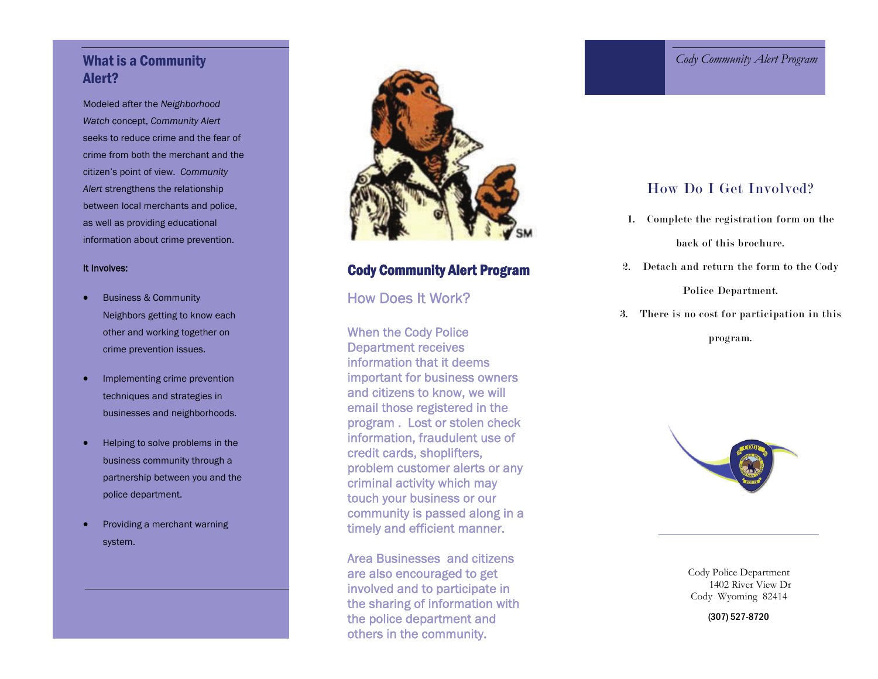## What is a Community Alert?

Modeled after the *Neighborhood Watch* concept, *Community Alert*  seeks to reduce crime and the fear of crime from both the merchant and the citizen's point of view. *Community Alert* strengthens the relationship between local merchants and police, as well as providing educational information about crime prevention.

#### It Involves:

- $\bullet$  Business & Community Neighbors getting to know each other and working together on crime prevention issues.
- $\bullet$  Implementing crime prevention techniques and strategies in businesses and neighborhoods.
- . Helping to solve problems in the business community through a partnership between you and the police department.
- $\bullet$  Providing a merchant warning system.



## Cody Community Alert Program

## How Does It Work?

When the Cody Police Department receives information that it deems important for business owners and citizens to know, we will email those registered in the program . Lost or stolen check information, fraudulent use of credit cards, shoplifters, problem customer alerts or any criminal activity which may touch your business or our community is passed along in a timely and efficient manner.

Area Businesses and citizens are also encouraged to get involved and to participate in the sharing of information with the police department and others in the community.

### *Cody Community Alert Program*

## How Do I Get Involved?

1. Complete the registration form on the

back of this brochure.

2. Detach and return the form to the Cody

#### Police Department.

3. There is no cost for participation in this

program.



 Cody Police Department 1402 River View Dr Cody Wyoming 82414

(307) 527-8720